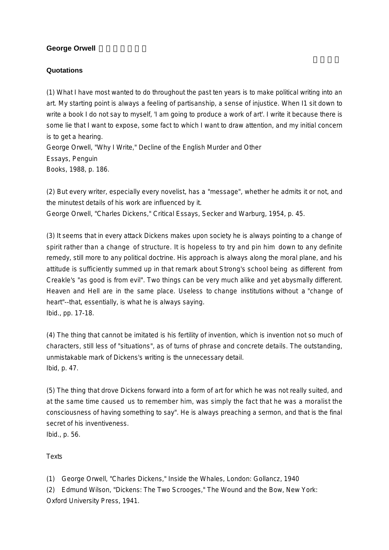## **George Orwell**

## **Quotations**

(1) What I have most wanted to do throughout the past ten years is to make political writing into an art. My starting point is always a feeling of partisanship, a sense of injustice. When I1 sit down to write a book I do not say to myself, 'I am going to produce a work of art'. I write it because there is some lie that I want to expose, some fact to which I want to draw attention, and my initial concern is to get a hearing. George Orwell, "Why I Write," Decline of the English Murder and Other Essays, Penguin

Books, 1988, p. 186.

(2) But every writer, especially every novelist, has a "message", whether he admits it or not, and the minutest details of his work are influenced by it.

George Orwell, "Charles Dickens," Critical Essays, Secker and Warburg, 1954, p. 45.

(3) It seems that in every attack Dickens makes upon society he is always pointing to a change of spirit rather than a change of structure. It is hopeless to try and pin him down to any definite remedy, still more to any political doctrine. His approach is always along the moral plane, and his attitude is sufficiently summed up in that remark about Strong's school being as different from Creakle's "as good is from evil". Two things can be very much alike and yet abysmally different. Heaven and Hell are in the same place. Useless to change institutions without a "change of heart"--that, essentially, is what he is always saying. Ibid., pp. 17-18.

(4) The thing that cannot be imitated is his fertility of invention, which is invention not so much of characters, still less of "situations", as of turns of phrase and concrete details. The outstanding, unmistakable mark of Dickens's writing is the unnecessary detail. Ibid, p. 47.

(5) The thing that drove Dickens forward into a form of art for which he was not really suited, and at the same time caused us to remember him, was simply the fact that he was a moralist the consciousness of having something to say". He is always preaching a sermon, and that is the final secret of his inventiveness. Ibid., p. 56.

**Texts** 

(1) George Orwell, "Charles Dickens," Inside the Whales, London: Gollancz, 1940

(2) Edmund Wilson, "Dickens: The Two Scrooges," The Wound and the Bow, New York: Oxford University Press, 1941.